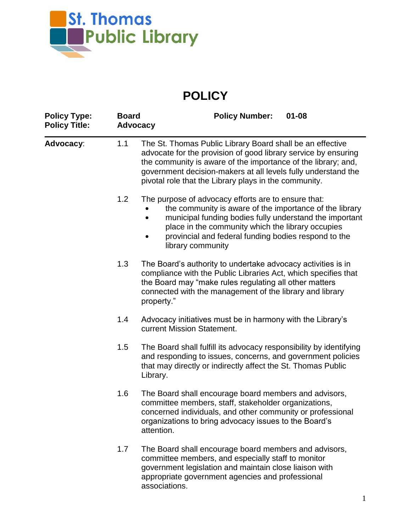

## **POLICY**

| <b>Policy Type:</b><br><b>Policy Title:</b> | <b>Board</b> | <b>Policy Number:</b><br>$01 - 08$<br><b>Advocacy</b>                                                                                                                                                                                                                                                                  |
|---------------------------------------------|--------------|------------------------------------------------------------------------------------------------------------------------------------------------------------------------------------------------------------------------------------------------------------------------------------------------------------------------|
| <b>Advocacy:</b>                            | 1.1          | The St. Thomas Public Library Board shall be an effective<br>advocate for the provision of good library service by ensuring<br>the community is aware of the importance of the library; and,<br>government decision-makers at all levels fully understand the<br>pivotal role that the Library plays in the community. |
|                                             | 1.2          | The purpose of advocacy efforts are to ensure that:<br>the community is aware of the importance of the library<br>municipal funding bodies fully understand the important<br>place in the community which the library occupies<br>provincial and federal funding bodies respond to the<br>library community            |
|                                             | 1.3          | The Board's authority to undertake advocacy activities is in<br>compliance with the Public Libraries Act, which specifies that<br>the Board may "make rules regulating all other matters<br>connected with the management of the library and library<br>property."                                                     |
|                                             | 1.4          | Advocacy initiatives must be in harmony with the Library's<br>current Mission Statement.                                                                                                                                                                                                                               |
|                                             | 1.5          | The Board shall fulfill its advocacy responsibility by identifying<br>and responding to issues, concerns, and government policies<br>that may directly or indirectly affect the St. Thomas Public<br>Library.                                                                                                          |
|                                             | 1.6          | The Board shall encourage board members and advisors,<br>committee members, staff, stakeholder organizations,<br>concerned individuals, and other community or professional<br>organizations to bring advocacy issues to the Board's<br>attention.                                                                     |
|                                             | 1.7          | The Board shall encourage board members and advisors,<br>committee members, and especially staff to monitor<br>government legislation and maintain close liaison with<br>appropriate government agencies and professional<br>associations.                                                                             |